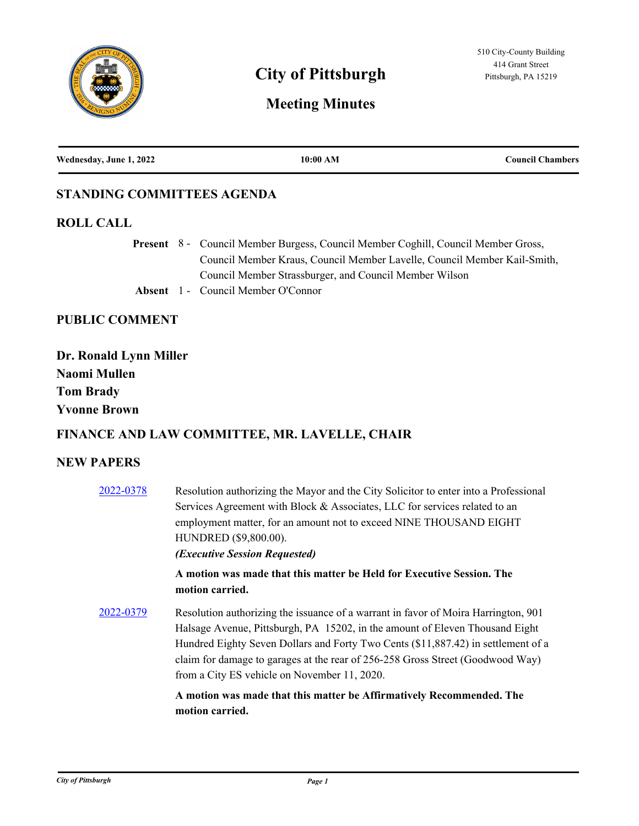

# **City of Pittsburgh** Pittsburgh, PA 15219

# **Meeting Minutes**

| Wednesday, June 1, 2022 | 10:00 AM | <b>Council Chambers</b> |
|-------------------------|----------|-------------------------|
|                         |          |                         |

#### **STANDING COMMITTEES AGENDA**

#### **ROLL CALL**

Present 8 - Council Member Burgess, Council Member Coghill, Council Member Gross, Council Member Kraus, Council Member Lavelle, Council Member Kail-Smith, Council Member Strassburger, and Council Member Wilson **Absent** 1 - Council Member O'Connor

# **PUBLIC COMMENT**

| Dr. Ronald Lynn Miller |
|------------------------|
| Naomi Mullen           |
| <b>Tom Brady</b>       |
| <b>Yvonne Brown</b>    |

### **FINANCE AND LAW COMMITTEE, MR. LAVELLE, CHAIR**

#### **NEW PAPERS**

| 2022-0378 | Resolution authorizing the Mayor and the City Solicitor to enter into a Professional<br>Services Agreement with Block & Associates, LLC for services related to an<br>employment matter, for an amount not to exceed NINE THOUSAND EIGHT<br>HUNDRED (\$9,800.00).<br><i><b>(Executive Session Requested)</b></i>                                                                          |
|-----------|-------------------------------------------------------------------------------------------------------------------------------------------------------------------------------------------------------------------------------------------------------------------------------------------------------------------------------------------------------------------------------------------|
|           | A motion was made that this matter be Held for Executive Session. The<br>motion carried.                                                                                                                                                                                                                                                                                                  |
| 2022-0379 | Resolution authorizing the issuance of a warrant in favor of Moira Harrington, 901<br>Halsage Avenue, Pittsburgh, PA 15202, in the amount of Eleven Thousand Eight<br>Hundred Eighty Seven Dollars and Forty Two Cents (\$11,887.42) in settlement of a<br>claim for damage to garages at the rear of 256-258 Gross Street (Goodwood Way)<br>from a City ES vehicle on November 11, 2020. |
|           | A motion was made that this matter be Affirmatively Recommended. The<br>motion carried.                                                                                                                                                                                                                                                                                                   |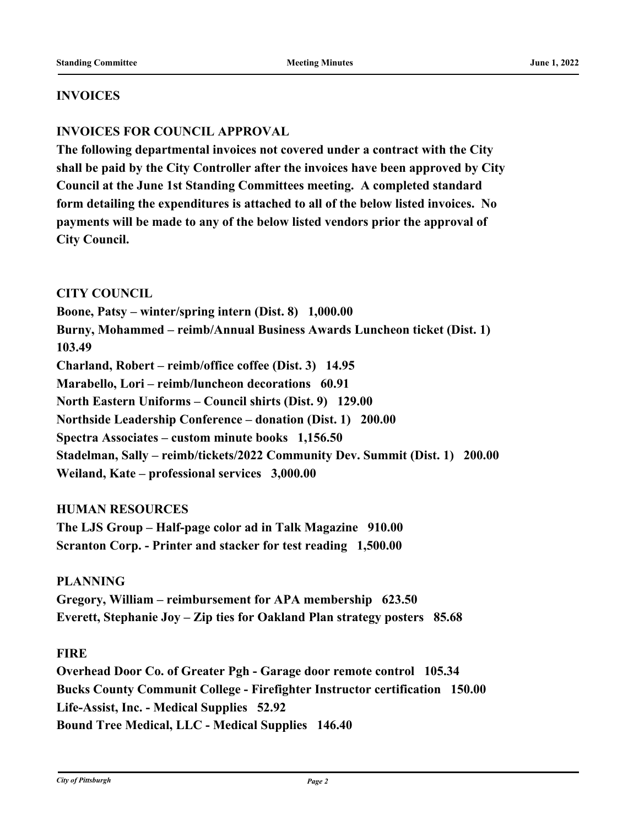#### **INVOICES**

## **INVOICES FOR COUNCIL APPROVAL**

**The following departmental invoices not covered under a contract with the City shall be paid by the City Controller after the invoices have been approved by City Council at the June 1st Standing Committees meeting. A completed standard form detailing the expenditures is attached to all of the below listed invoices. No payments will be made to any of the below listed vendors prior the approval of City Council.** 

#### **CITY COUNCIL**

**Boone, Patsy – winter/spring intern (Dist. 8) 1,000.00 Burny, Mohammed – reimb/Annual Business Awards Luncheon ticket (Dist. 1) 103.49 Charland, Robert – reimb/office coffee (Dist. 3) 14.95 Marabello, Lori – reimb/luncheon decorations 60.91 North Eastern Uniforms – Council shirts (Dist. 9) 129.00 Northside Leadership Conference – donation (Dist. 1) 200.00 Spectra Associates – custom minute books 1,156.50 Stadelman, Sally – reimb/tickets/2022 Community Dev. Summit (Dist. 1) 200.00 Weiland, Kate – professional services 3,000.00**

#### **HUMAN RESOURCES**

**The LJS Group – Half-page color ad in Talk Magazine 910.00 Scranton Corp. - Printer and stacker for test reading 1,500.00**

#### **PLANNING**

**Gregory, William – reimbursement for APA membership 623.50 Everett, Stephanie Joy – Zip ties for Oakland Plan strategy posters 85.68**

#### **FIRE**

**Overhead Door Co. of Greater Pgh - Garage door remote control 105.34 Bucks County Communit College - Firefighter Instructor certification 150.00 Life-Assist, Inc. - Medical Supplies 52.92 Bound Tree Medical, LLC - Medical Supplies 146.40**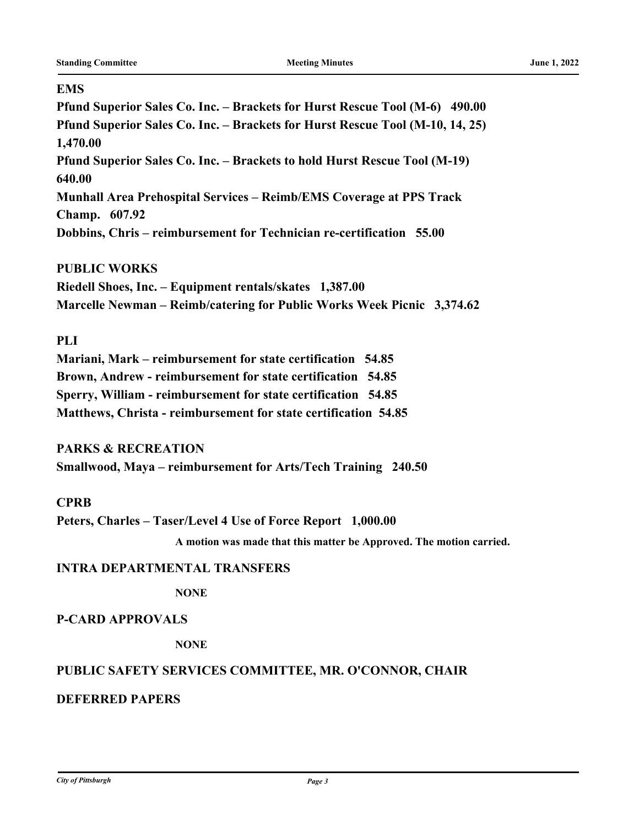#### **EMS**

**Pfund Superior Sales Co. Inc. – Brackets for Hurst Rescue Tool (M-6) 490.00 Pfund Superior Sales Co. Inc. – Brackets for Hurst Rescue Tool (M-10, 14, 25) 1,470.00 Pfund Superior Sales Co. Inc. – Brackets to hold Hurst Rescue Tool (M-19) 640.00 Munhall Area Prehospital Services – Reimb/EMS Coverage at PPS Track Champ. 607.92 Dobbins, Chris – reimbursement for Technician re-certification 55.00**

#### **PUBLIC WORKS**

**Riedell Shoes, Inc. – Equipment rentals/skates 1,387.00 Marcelle Newman – Reimb/catering for Public Works Week Picnic 3,374.62**

#### **PLI**

**Mariani, Mark – reimbursement for state certification 54.85 Brown, Andrew - reimbursement for state certification 54.85 Sperry, William - reimbursement for state certification 54.85 Matthews, Christa - reimbursement for state certification 54.85**

**PARKS & RECREATION** 

**Smallwood, Maya – reimbursement for Arts/Tech Training 240.50**

#### **CPRB**

**Peters, Charles – Taser/Level 4 Use of Force Report 1,000.00**

**A motion was made that this matter be Approved. The motion carried.**

#### **INTRA DEPARTMENTAL TRANSFERS**

**NONE**

#### **P-CARD APPROVALS**

**NONE**

#### **PUBLIC SAFETY SERVICES COMMITTEE, MR. O'CONNOR, CHAIR**

#### **DEFERRED PAPERS**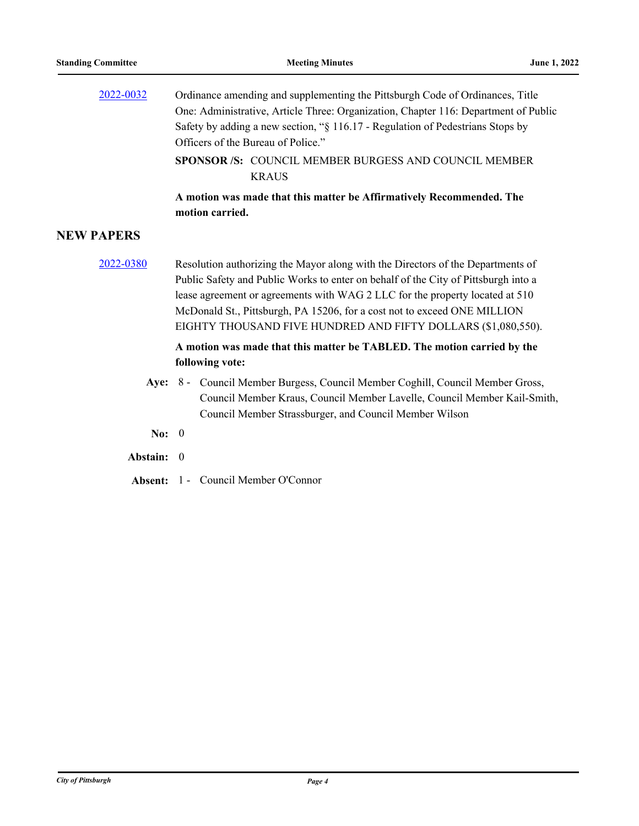**NEW** 

| 2022-0032     | Ordinance amending and supplementing the Pittsburgh Code of Ordinances, Title<br>One: Administrative, Article Three: Organization, Chapter 116: Department of Public<br>Safety by adding a new section, "§ 116.17 - Regulation of Pedestrians Stops by<br>Officers of the Bureau of Police."                                                                                                       |  |
|---------------|----------------------------------------------------------------------------------------------------------------------------------------------------------------------------------------------------------------------------------------------------------------------------------------------------------------------------------------------------------------------------------------------------|--|
|               | <b>SPONSOR /S: COUNCIL MEMBER BURGESS AND COUNCIL MEMBER</b><br><b>KRAUS</b>                                                                                                                                                                                                                                                                                                                       |  |
|               | A motion was made that this matter be Affirmatively Recommended. The<br>motion carried.                                                                                                                                                                                                                                                                                                            |  |
| <b>PAPERS</b> |                                                                                                                                                                                                                                                                                                                                                                                                    |  |
| 2022-0380     | Resolution authorizing the Mayor along with the Directors of the Departments of<br>Public Safety and Public Works to enter on behalf of the City of Pittsburgh into a<br>lease agreement or agreements with WAG 2 LLC for the property located at 510<br>McDonald St., Pittsburgh, PA 15206, for a cost not to exceed ONE MILLION<br>EIGHTY THOUSAND FIVE HUNDRED AND FIFTY DOLLARS (\$1,080,550). |  |
|               | A motion was made that this matter be TABLED. The motion carried by the<br>following vote:                                                                                                                                                                                                                                                                                                         |  |
|               | Aye: 8 - Council Member Burgess, Council Member Coghill, Council Member Gross,<br>Council Member Kraus, Council Member Lavelle, Council Member Kail-Smith,<br>Council Member Strassburger, and Council Member Wilson                                                                                                                                                                               |  |

- **No:** 0
- **Abstain:** 0
- **Absent:** 1 Council Member O'Connor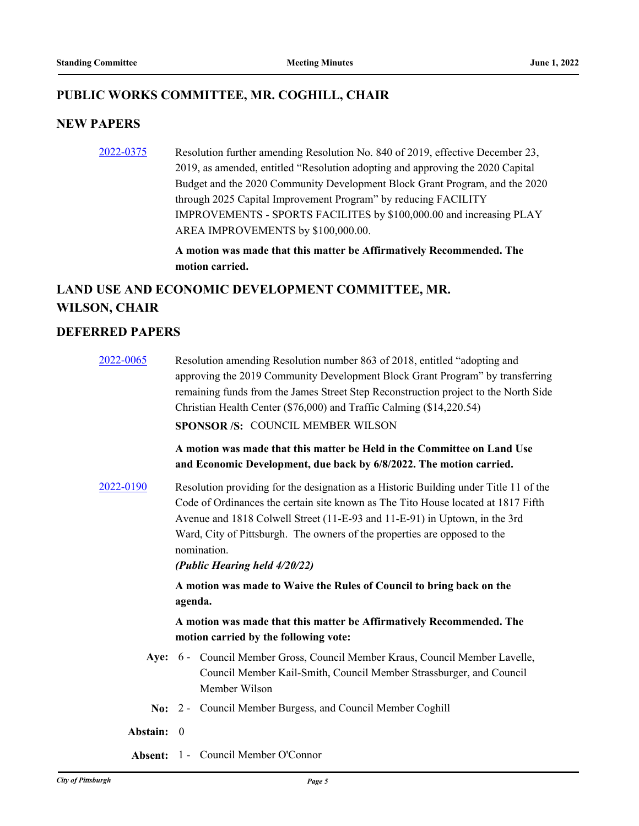#### **PUBLIC WORKS COMMITTEE, MR. COGHILL, CHAIR**

#### **NEW PAPERS**

[2022-0375](http://pittsburgh.legistar.com/gateway.aspx?m=l&id=/matter.aspx?key=27757) Resolution further amending Resolution No. 840 of 2019, effective December 23, 2019, as amended, entitled "Resolution adopting and approving the 2020 Capital Budget and the 2020 Community Development Block Grant Program, and the 2020 through 2025 Capital Improvement Program" by reducing FACILITY IMPROVEMENTS - SPORTS FACILITES by \$100,000.00 and increasing PLAY AREA IMPROVEMENTS by \$100,000.00.

> **A motion was made that this matter be Affirmatively Recommended. The motion carried.**

# **LAND USE AND ECONOMIC DEVELOPMENT COMMITTEE, MR. WILSON, CHAIR**

#### **DEFERRED PAPERS**

| 2022-0065  | Resolution amending Resolution number 863 of 2018, entitled "adopting and<br>approving the 2019 Community Development Block Grant Program" by transferring<br>remaining funds from the James Street Step Reconstruction project to the North Side<br>Christian Health Center (\$76,000) and Traffic Calming (\$14,220.54)<br><b>SPONSOR/S: COUNCIL MEMBER WILSON</b><br>A motion was made that this matter be Held in the Committee on Land Use<br>and Economic Development, due back by 6/8/2022. The motion carried. |  |
|------------|------------------------------------------------------------------------------------------------------------------------------------------------------------------------------------------------------------------------------------------------------------------------------------------------------------------------------------------------------------------------------------------------------------------------------------------------------------------------------------------------------------------------|--|
| 2022-0190  | Resolution providing for the designation as a Historic Building under Title 11 of the<br>Code of Ordinances the certain site known as The Tito House located at 1817 Fifth<br>Avenue and 1818 Colwell Street (11-E-93 and 11-E-91) in Uptown, in the 3rd<br>Ward, City of Pittsburgh. The owners of the properties are opposed to the<br>nomination.<br>(Public Hearing held 4/20/22)                                                                                                                                  |  |
|            | A motion was made to Waive the Rules of Council to bring back on the<br>agenda.                                                                                                                                                                                                                                                                                                                                                                                                                                        |  |
|            | A motion was made that this matter be Affirmatively Recommended. The<br>motion carried by the following vote:                                                                                                                                                                                                                                                                                                                                                                                                          |  |
|            | Aye: 6 - Council Member Gross, Council Member Kraus, Council Member Lavelle,<br>Council Member Kail-Smith, Council Member Strassburger, and Council<br>Member Wilson                                                                                                                                                                                                                                                                                                                                                   |  |
|            | No: 2 - Council Member Burgess, and Council Member Coghill                                                                                                                                                                                                                                                                                                                                                                                                                                                             |  |
| Abstain: 0 |                                                                                                                                                                                                                                                                                                                                                                                                                                                                                                                        |  |
|            | <b>Absent: 1 - Council Member O'Connor</b>                                                                                                                                                                                                                                                                                                                                                                                                                                                                             |  |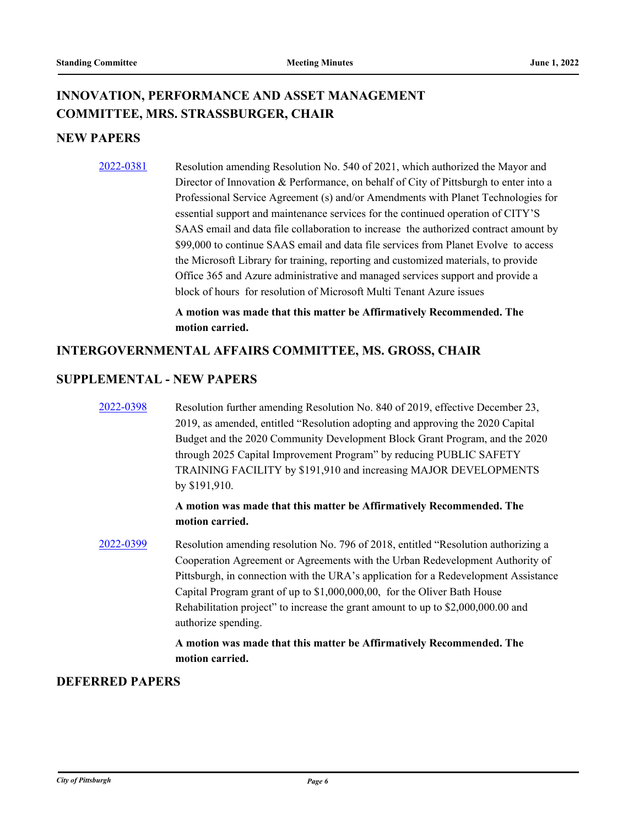# **INNOVATION, PERFORMANCE AND ASSET MANAGEMENT COMMITTEE, MRS. STRASSBURGER, CHAIR**

### **NEW PAPERS**

[2022-0381](http://pittsburgh.legistar.com/gateway.aspx?m=l&id=/matter.aspx?key=27763) Resolution amending Resolution No. 540 of 2021, which authorized the Mayor and Director of Innovation & Performance, on behalf of City of Pittsburgh to enter into a Professional Service Agreement (s) and/or Amendments with Planet Technologies for essential support and maintenance services for the continued operation of CITY'S SAAS email and data file collaboration to increase the authorized contract amount by \$99,000 to continue SAAS email and data file services from Planet Evolve to access the Microsoft Library for training, reporting and customized materials, to provide Office 365 and Azure administrative and managed services support and provide a block of hours for resolution of Microsoft Multi Tenant Azure issues

> **A motion was made that this matter be Affirmatively Recommended. The motion carried.**

#### **INTERGOVERNMENTAL AFFAIRS COMMITTEE, MS. GROSS, CHAIR**

#### **SUPPLEMENTAL - NEW PAPERS**

[2022-0398](http://pittsburgh.legistar.com/gateway.aspx?m=l&id=/matter.aspx?key=27781) Resolution further amending Resolution No. 840 of 2019, effective December 23, 2019, as amended, entitled "Resolution adopting and approving the 2020 Capital Budget and the 2020 Community Development Block Grant Program, and the 2020 through 2025 Capital Improvement Program" by reducing PUBLIC SAFETY TRAINING FACILITY by \$191,910 and increasing MAJOR DEVELOPMENTS by \$191,910.

#### **A motion was made that this matter be Affirmatively Recommended. The motion carried.**

[2022-0399](http://pittsburgh.legistar.com/gateway.aspx?m=l&id=/matter.aspx?key=27782) Resolution amending resolution No. 796 of 2018, entitled "Resolution authorizing a Cooperation Agreement or Agreements with the Urban Redevelopment Authority of Pittsburgh, in connection with the URA's application for a Redevelopment Assistance Capital Program grant of up to \$1,000,000,00, for the Oliver Bath House Rehabilitation project" to increase the grant amount to up to \$2,000,000.00 and authorize spending.

#### **A motion was made that this matter be Affirmatively Recommended. The motion carried.**

#### **DEFERRED PAPERS**